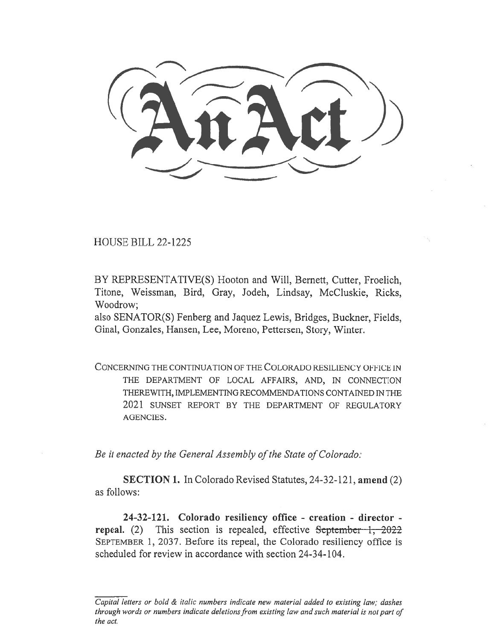HOUSE BILL 22-1225

BY REPRESENTATIVE(S) Hooton and Will, Bernett, Cutter, Froelich, Titone, Weissman, Bird, Gray, Jodeh, Lindsay, McCluskie, Ricks, Woodrow;

also SENATOR(S) Fenberg and Jaquez Lewis, Bridges, Buckner, Fields, Ginal, Gonzales, Hansen, Lee, Moreno, Pettersen, Story, Winter.

CONCERNING THE CONTINUATION OF THE COLORADO RESILIENCY OFFICE IN THE DEPARTMENT OF LOCAL AFFAIRS, AND, IN CONNECTION THEREWITH, IMPLEMENTING RECOMMENDATIONS CONTAINED IN THE 2021 SUNSET REPORT BY THE DEPARTMENT OF REGULATORY AGENCIES.

Be it enacted by the General Assembly of the State of Colorado:

SECTION 1. In Colorado Revised Statutes, 24-32-121, amend (2) as follows:

24-32-121. Colorado resiliency office - creation - director repeal. (2) This section is repealed, effective September  $1, -2022$ SEPTEMBER 1, 2037. Before its repeal, the Colorado resiliency office is scheduled for review in accordance with section 24-34-104.

Capital letters or bold & italic numbers indicate new material added to existing law; dashes through words or numbers indicate deletions from existing law and such material is not part of the act.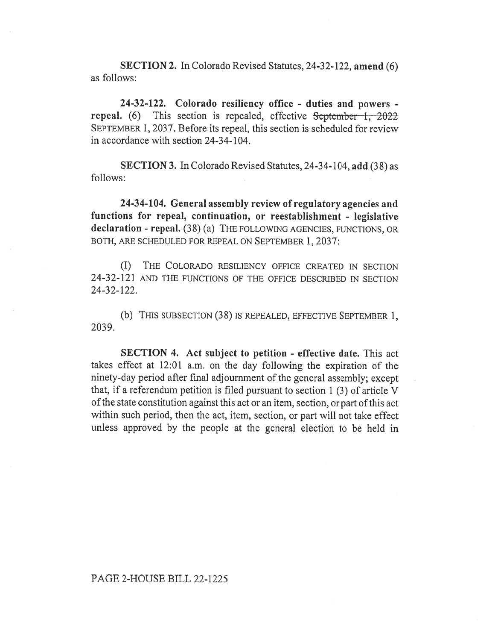SECTION 2. In Colorado Revised Statutes, 24-32-122, amend (6) as follows:

24-32-122. Colorado resiliency office - duties and powers repeal. (6) This section is repealed, effective  $S$ eptember  $1, 2022$ SEPTEMBER 1, 2037. Before its repeal, this section is scheduled for review in accordance with section 24-34-104.

SECTION 3. In Colorado Revised Statutes, 24-34-104, add (38) as follows:

24-34-104. General assembly review of regulatory agencies and functions for repeal, continuation, or reestablishment - legislative declaration - repeal. (38) (a) THE FOLLOWING AGENCIES, FUNCTIONS, OR BOTH, ARE SCHEDULED FOR REPEAL ON SEPTEMBER 1, 2037:

(I) THE COLORADO RESILIENCY OFFICE CREATED IN SECTION 24-32-121 AND THE FUNCTIONS OF THE OFFICE DESCRIBED IN SECTION 24-32-122.

(b) THIS SUBSECTION (38) IS REPEALED, EFFECTIVE SEPTEMBER 1, 2039.

SECTION 4. Act subject to petition - effective date. This act takes effect at 12:01 a.m. on the day following the expiration of the ninety-day period after final adjournment of the general assembly; except that, if a referendum petition is filed pursuant to section 1 (3) of article V of the state constitution against this act or an item, section, or part of this act within such period, then the act, item, section, or part will not take effect unless approved by the people at the general election to be held in